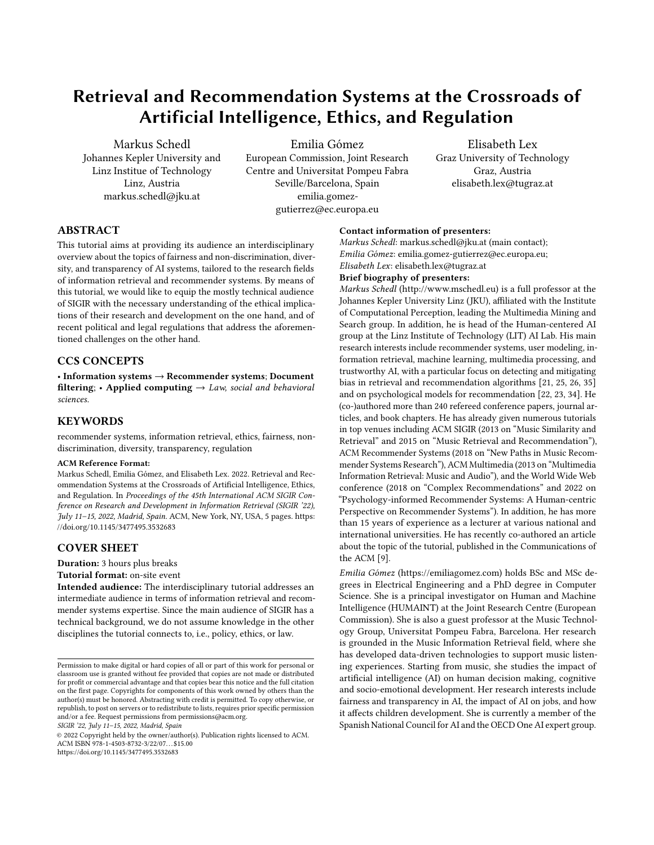# Retrieval and Recommendation Systems at the Crossroads of Artificial Intelligence, Ethics, and Regulation

[Markus Schedl](https://orcid.org/0000-0003-1706-3406) Johannes Kepler University and Linz Institue of Technology Linz, Austria markus.schedl@jku.at

[Emilia Gómez](https://orcid.org/0000-0003-4983-3989)

European Commission, Joint Research Centre and Universitat Pompeu Fabra Seville/Barcelona, Spain emilia.gomezgutierrez@ec.europa.eu

Elisabeth Lex Graz University of Technology Graz, Austria elisabeth.lex@tugraz.at

# ABSTRACT

This tutorial aims at providing its audience an interdisciplinary overview about the topics of fairness and non-discrimination, diversity, and transparency of AI systems, tailored to the research fields of information retrieval and recommender systems. By means of this tutorial, we would like to equip the mostly technical audience of SIGIR with the necessary understanding of the ethical implications of their research and development on the one hand, and of recent political and legal regulations that address the aforementioned challenges on the other hand.

# CCS CONCEPTS

• Information systems → Recommender systems; Document filtering; • Applied computing  $\rightarrow$  Law, social and behavioral sciences.

## **KEYWORDS**

recommender systems, information retrieval, ethics, fairness, nondiscrimination, diversity, transparency, regulation

#### ACM Reference Format:

Markus Schedl, Emilia Gómez, and Elisabeth Lex. 2022. Retrieval and Recommendation Systems at the Crossroads of Artificial Intelligence, Ethics, and Regulation. In Proceedings of the 45th International ACM SIGIR Conference on Research and Development in Information Retrieval (SIGIR '22), July 11–15, 2022, Madrid, Spain. ACM, New York, NY, USA, [5](#page-4-0) pages. [https:](https://doi.org/10.1145/3477495.3532683) [//doi.org/10.1145/3477495.3532683](https://doi.org/10.1145/3477495.3532683)

# COVER SHEET

Duration: 3 hours plus breaks

#### Tutorial format: on-site event

Intended audience: The interdisciplinary tutorial addresses an intermediate audience in terms of information retrieval and recommender systems expertise. Since the main audience of SIGIR has a technical background, we do not assume knowledge in the other disciplines the tutorial connects to, i.e., policy, ethics, or law.

SIGIR '22, July 11–15, 2022, Madrid, Spain

© 2022 Copyright held by the owner/author(s). Publication rights licensed to ACM. ACM ISBN 978-1-4503-8732-3/22/07. . . \$15.00 <https://doi.org/10.1145/3477495.3532683>

## Contact information of presenters:

Markus Schedl: markus.schedl@jku.at (main contact); Emilia Gómez: emilia.gomez-gutierrez@ec.europa.eu; Elisabeth Lex: elisabeth.lex@tugraz.at

#### Brief biography of presenters:

Markus Schedl (http://www.mschedl.eu) is a full professor at the Johannes Kepler University Linz (JKU), affiliated with the Institute of Computational Perception, leading the Multimedia Mining and Search group. In addition, he is head of the Human-centered AI group at the Linz Institute of Technology (LIT) AI Lab. His main research interests include recommender systems, user modeling, information retrieval, machine learning, multimedia processing, and trustworthy AI, with a particular focus on detecting and mitigating bias in retrieval and recommendation algorithms [\[21,](#page-4-1) [25,](#page-4-2) [26,](#page-4-3) [35\]](#page-4-4) and on psychological models for recommendation [\[22,](#page-4-5) [23,](#page-4-6) [34\]](#page-4-7). He (co-)authored more than 240 refereed conference papers, journal articles, and book chapters. He has already given numerous tutorials in top venues including ACM SIGIR (2013 on "Music Similarity and Retrieval" and 2015 on "Music Retrieval and Recommendation"), ACM Recommender Systems (2018 on "New Paths in Music Recommender Systems Research"), ACM Multimedia (2013 on "Multimedia Information Retrieval: Music and Audio"), and the World Wide Web conference (2018 on "Complex Recommendations" and 2022 on "Psychology-informed Recommender Systems: A Human-centric Perspective on Recommender Systems"). In addition, he has more than 15 years of experience as a lecturer at various national and international universities. He has recently co-authored an article about the topic of the tutorial, published in the Communications of the ACM [\[9\]](#page-3-0).

Emilia Gómez [\(https://emiliagomez.com\)](https://emiliagomez.com) holds BSc and MSc degrees in Electrical Engineering and a PhD degree in Computer Science. She is a principal investigator on Human and Machine Intelligence (HUMAINT) at the Joint Research Centre (European Commission). She is also a guest professor at the Music Technology Group, Universitat Pompeu Fabra, Barcelona. Her research is grounded in the Music Information Retrieval field, where she has developed data-driven technologies to support music listening experiences. Starting from music, she studies the impact of artificial intelligence (AI) on human decision making, cognitive and socio-emotional development. Her research interests include fairness and transparency in AI, the impact of AI on jobs, and how it affects children development. She is currently a member of the Spanish National Council for AI and the OECD One AI expert group.

Permission to make digital or hard copies of all or part of this work for personal or classroom use is granted without fee provided that copies are not made or distributed for profit or commercial advantage and that copies bear this notice and the full citation on the first page. Copyrights for components of this work owned by others than the author(s) must be honored. Abstracting with credit is permitted. To copy otherwise, or republish, to post on servers or to redistribute to lists, requires prior specific permission and/or a fee. Request permissions from permissions@acm.org.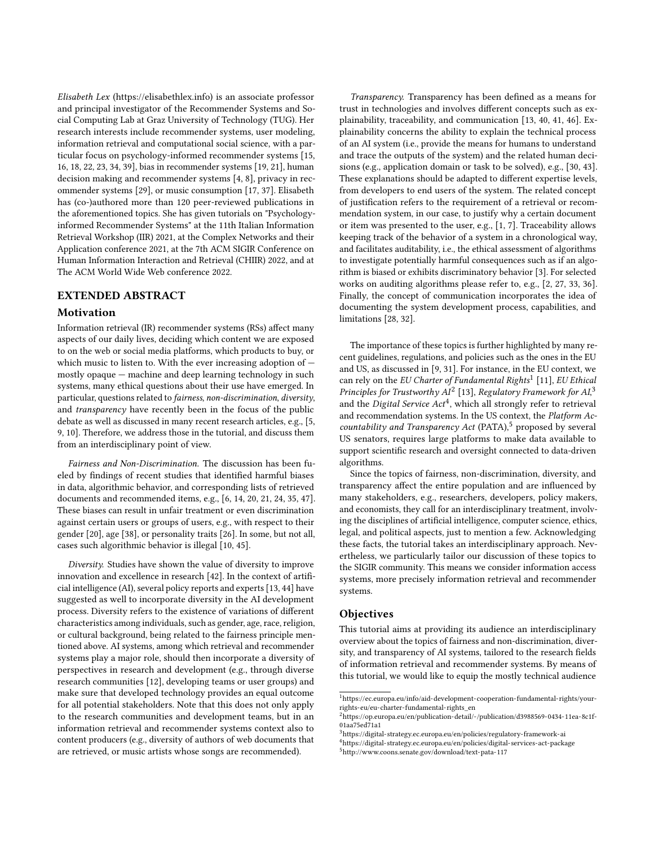Elisabeth Lex [\(https://elisabethlex.info\)](https://elisabethlex.info) is an associate professor and principal investigator of the Recommender Systems and Social Computing Lab at Graz University of Technology (TUG). Her research interests include recommender systems, user modeling, information retrieval and computational social science, with a particular focus on psychology-informed recommender systems [\[15,](#page-3-1) [16,](#page-3-2) [18,](#page-3-3) [22,](#page-4-5) [23,](#page-4-6) [34,](#page-4-7) [39\]](#page-4-8), bias in recommender systems [\[19,](#page-3-4) [21\]](#page-4-1), human decision making and recommender systems [\[4,](#page-3-5) [8\]](#page-3-6), privacy in recommender systems [\[29\]](#page-4-9), or music consumption [\[17,](#page-3-7) [37\]](#page-4-10). Elisabeth has (co-)authored more than 120 peer-reviewed publications in the aforementioned topics. She has given tutorials on "Psychologyinformed Recommender Systems" at the 11th Italian Information Retrieval Workshop (IIR) 2021, at the Complex Networks and their Application conference 2021, at the 7th ACM SIGIR Conference on Human Information Interaction and Retrieval (CHIIR) 2022, and at The ACM World Wide Web conference 2022.

## EXTENDED ABSTRACT

#### Motivation

Information retrieval (IR) recommender systems (RSs) affect many aspects of our daily lives, deciding which content we are exposed to on the web or social media platforms, which products to buy, or which music to listen to. With the ever increasing adoption of mostly opaque — machine and deep learning technology in such systems, many ethical questions about their use have emerged. In particular, questions related to fairness, non-discrimination, diversity, and transparency have recently been in the focus of the public debate as well as discussed in many recent research articles, e.g., [\[5,](#page-3-8) [9,](#page-3-0) [10\]](#page-3-9). Therefore, we address those in the tutorial, and discuss them from an interdisciplinary point of view.

Fairness and Non-Discrimination. The discussion has been fueled by findings of recent studies that identified harmful biases in data, algorithmic behavior, and corresponding lists of retrieved documents and recommended items, e.g., [\[6,](#page-3-10) [14,](#page-3-11) [20,](#page-3-12) [21,](#page-4-1) [24,](#page-4-11) [35,](#page-4-4) [47\]](#page-4-12). These biases can result in unfair treatment or even discrimination against certain users or groups of users, e.g., with respect to their gender [\[20\]](#page-3-12), age [\[38\]](#page-4-13), or personality traits [\[26\]](#page-4-3). In some, but not all, cases such algorithmic behavior is illegal [\[10,](#page-3-9) [45\]](#page-4-14).

Diversity. Studies have shown the value of diversity to improve innovation and excellence in research [\[42\]](#page-4-15). In the context of artificial intelligence (AI), several policy reports and experts [\[13,](#page-3-13) [44\]](#page-4-16) have suggested as well to incorporate diversity in the AI development process. Diversity refers to the existence of variations of different characteristics among individuals, such as gender, age, race, religion, or cultural background, being related to the fairness principle mentioned above. AI systems, among which retrieval and recommender systems play a major role, should then incorporate a diversity of perspectives in research and development (e.g., through diverse research communities [\[12\]](#page-3-14), developing teams or user groups) and make sure that developed technology provides an equal outcome for all potential stakeholders. Note that this does not only apply to the research communities and development teams, but in an information retrieval and recommender systems context also to content producers (e.g., diversity of authors of web documents that are retrieved, or music artists whose songs are recommended).

Transparency. Transparency has been defined as a means for trust in technologies and involves different concepts such as explainability, traceability, and communication [\[13,](#page-3-13) [40,](#page-4-17) [41,](#page-4-18) [46\]](#page-4-19). Explainability concerns the ability to explain the technical process of an AI system (i.e., provide the means for humans to understand and trace the outputs of the system) and the related human decisions (e.g., application domain or task to be solved), e.g., [\[30,](#page-4-20) [43\]](#page-4-21). These explanations should be adapted to different expertise levels, from developers to end users of the system. The related concept of justification refers to the requirement of a retrieval or recommendation system, in our case, to justify why a certain document or item was presented to the user, e.g., [\[1,](#page-3-15) [7\]](#page-3-16). Traceability allows keeping track of the behavior of a system in a chronological way, and facilitates auditability, i.e., the ethical assessment of algorithms to investigate potentially harmful consequences such as if an algorithm is biased or exhibits discriminatory behavior [\[3\]](#page-3-17). For selected works on auditing algorithms please refer to, e.g., [\[2,](#page-3-18) [27,](#page-4-22) [33,](#page-4-23) [36\]](#page-4-24). Finally, the concept of communication incorporates the idea of documenting the system development process, capabilities, and limitations [\[28,](#page-4-25) [32\]](#page-4-26).

The importance of these topics is further highlighted by many recent guidelines, regulations, and policies such as the ones in the EU and US, as discussed in [\[9,](#page-3-0) [31\]](#page-4-27). For instance, in the EU context, we can rely on the EU Charter of Fundamental Rights<sup>[1](#page-1-0)</sup> [\[11\]](#page-3-19), EU Ethical Principles for Trustworthy  $AI^2$  $AI^2$  [\[13\]](#page-3-13), Regulatory Framework for  $AI^3$  $AI^3$ and the Digital Service Act<sup>[4](#page-1-3)</sup>, which all strongly refer to retrieval and recommendation systems. In the US context, the Platform Accountability and Transparency Act (PATA), $5$  proposed by several US senators, requires large platforms to make data available to support scientific research and oversight connected to data-driven algorithms.

Since the topics of fairness, non-discrimination, diversity, and transparency affect the entire population and are influenced by many stakeholders, e.g., researchers, developers, policy makers, and economists, they call for an interdisciplinary treatment, involving the disciplines of artificial intelligence, computer science, ethics, legal, and political aspects, just to mention a few. Acknowledging these facts, the tutorial takes an interdisciplinary approach. Nevertheless, we particularly tailor our discussion of these topics to the SIGIR community. This means we consider information access systems, more precisely information retrieval and recommender systems.

## Objectives

This tutorial aims at providing its audience an interdisciplinary overview about the topics of fairness and non-discrimination, diversity, and transparency of AI systems, tailored to the research fields of information retrieval and recommender systems. By means of this tutorial, we would like to equip the mostly technical audience

<span id="page-1-0"></span> $^1$ [https://ec.europa.eu/info/aid-development-cooperation-fundamental-rights/your](https://ec.europa.eu/info/aid-development-cooperation-fundamental-rights/your-rights-eu/eu-charter-fundamental-rights_en)[rights-eu/eu-charter-fundamental-rights\\_en](https://ec.europa.eu/info/aid-development-cooperation-fundamental-rights/your-rights-eu/eu-charter-fundamental-rights_en)

<span id="page-1-1"></span> $^2$ [https://op.europa.eu/en/publication-detail/-/publication/d3988569-0434-11ea-8c1f-](https://op.europa.eu/en/publication-detail/-/publication/d3988569-0434-11ea-8c1f-01aa75ed71a1)[01aa75ed71a1](https://op.europa.eu/en/publication-detail/-/publication/d3988569-0434-11ea-8c1f-01aa75ed71a1)

<span id="page-1-2"></span> $^3$ <https://digital-strategy.ec.europa.eu/en/policies/regulatory-framework-ai>

<span id="page-1-3"></span><sup>4</sup><https://digital-strategy.ec.europa.eu/en/policies/digital-services-act-package>

<span id="page-1-4"></span><sup>5</sup><http://www.coons.senate.gov/download/text-pata-117>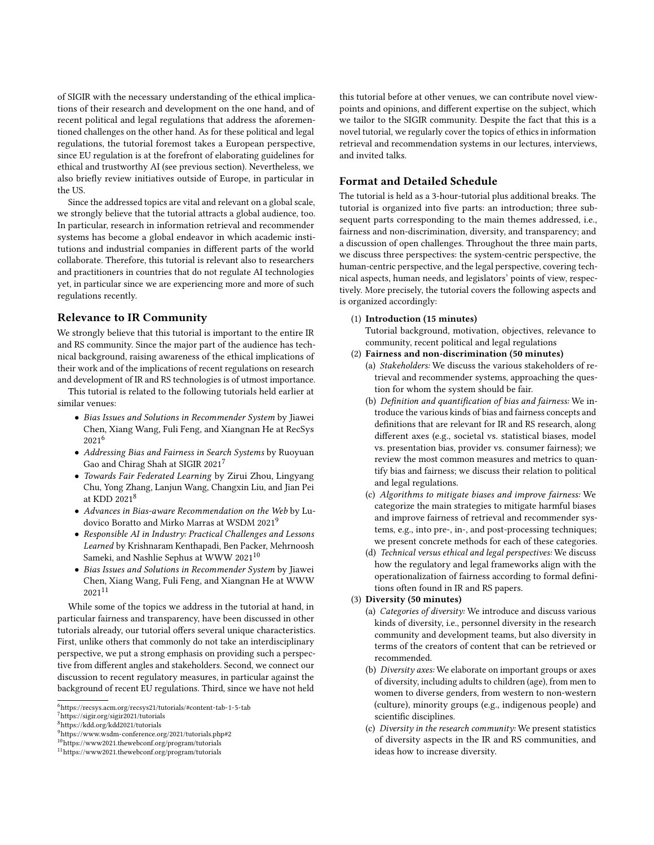of SIGIR with the necessary understanding of the ethical implications of their research and development on the one hand, and of recent political and legal regulations that address the aforementioned challenges on the other hand. As for these political and legal regulations, the tutorial foremost takes a European perspective, since EU regulation is at the forefront of elaborating guidelines for ethical and trustworthy AI (see previous section). Nevertheless, we also briefly review initiatives outside of Europe, in particular in the US.

Since the addressed topics are vital and relevant on a global scale, we strongly believe that the tutorial attracts a global audience, too. In particular, research in information retrieval and recommender systems has become a global endeavor in which academic institutions and industrial companies in different parts of the world collaborate. Therefore, this tutorial is relevant also to researchers and practitioners in countries that do not regulate AI technologies yet, in particular since we are experiencing more and more of such regulations recently.

#### Relevance to IR Community

We strongly believe that this tutorial is important to the entire IR and RS community. Since the major part of the audience has technical background, raising awareness of the ethical implications of their work and of the implications of recent regulations on research and development of IR and RS technologies is of utmost importance.

This tutorial is related to the following tutorials held earlier at similar venues:

- Bias Issues and Solutions in Recommender System by Jiawei Chen, Xiang Wang, Fuli Feng, and Xiangnan He at RecSys 2021[6](#page-2-0)
- Addressing Bias and Fairness in Search Systems by Ruoyuan Gao and Chirag Shah at SIGIR 2021<sup>[7](#page-2-1)</sup>
- Towards Fair Federated Learning by Zirui Zhou, Lingyang Chu, Yong Zhang, Lanjun Wang, Changxin Liu, and Jian Pei at KDD 2021[8](#page-2-2)
- Advances in Bias-aware Recommendation on the Web by Ludovico Boratto and Mirko Marras at WSDM 2021[9](#page-2-3)
- Responsible AI in Industry: Practical Challenges and Lessons Learned by Krishnaram Kenthapadi, Ben Packer, Mehrnoosh Sameki, and Nashlie Sephus at WWW 2021<sup>[10](#page-2-4)</sup>
- Bias Issues and Solutions in Recommender System by Jiawei Chen, Xiang Wang, Fuli Feng, and Xiangnan He at WWW 2021[11](#page-2-5)

While some of the topics we address in the tutorial at hand, in particular fairness and transparency, have been discussed in other tutorials already, our tutorial offers several unique characteristics. First, unlike others that commonly do not take an interdisciplinary perspective, we put a strong emphasis on providing such a perspective from different angles and stakeholders. Second, we connect our discussion to recent regulatory measures, in particular against the background of recent EU regulations. Third, since we have not held

this tutorial before at other venues, we can contribute novel viewpoints and opinions, and different expertise on the subject, which we tailor to the SIGIR community. Despite the fact that this is a novel tutorial, we regularly cover the topics of ethics in information retrieval and recommendation systems in our lectures, interviews, and invited talks.

## Format and Detailed Schedule

The tutorial is held as a 3-hour-tutorial plus additional breaks. The tutorial is organized into five parts: an introduction; three subsequent parts corresponding to the main themes addressed, i.e., fairness and non-discrimination, diversity, and transparency; and a discussion of open challenges. Throughout the three main parts, we discuss three perspectives: the system-centric perspective, the human-centric perspective, and the legal perspective, covering technical aspects, human needs, and legislators' points of view, respectively. More precisely, the tutorial covers the following aspects and is organized accordingly:

#### (1) Introduction (15 minutes)

Tutorial background, motivation, objectives, relevance to community, recent political and legal regulations

#### (2) Fairness and non-discrimination (50 minutes)

- (a) Stakeholders: We discuss the various stakeholders of retrieval and recommender systems, approaching the question for whom the system should be fair.
- (b) Definition and quantification of bias and fairness: We introduce the various kinds of bias and fairness concepts and definitions that are relevant for IR and RS research, along different axes (e.g., societal vs. statistical biases, model vs. presentation bias, provider vs. consumer fairness); we review the most common measures and metrics to quantify bias and fairness; we discuss their relation to political and legal regulations.
- (c) Algorithms to mitigate biases and improve fairness: We categorize the main strategies to mitigate harmful biases and improve fairness of retrieval and recommender systems, e.g., into pre-, in-, and post-processing techniques; we present concrete methods for each of these categories.
- (d) Technical versus ethical and legal perspectives: We discuss how the regulatory and legal frameworks align with the operationalization of fairness according to formal definitions often found in IR and RS papers.

#### (3) Diversity (50 minutes)

- (a) Categories of diversity: We introduce and discuss various kinds of diversity, i.e., personnel diversity in the research community and development teams, but also diversity in terms of the creators of content that can be retrieved or recommended.
- (b) Diversity axes: We elaborate on important groups or axes of diversity, including adults to children (age), from men to women to diverse genders, from western to non-western (culture), minority groups (e.g., indigenous people) and scientific disciplines.
- (c) Diversity in the research community: We present statistics of diversity aspects in the IR and RS communities, and ideas how to increase diversity.

<span id="page-2-0"></span><sup>6</sup><https://recsys.acm.org/recsys21/tutorials/#content-tab-1-5-tab>

<span id="page-2-1"></span> $^7$ <https://sigir.org/sigir2021/tutorials>

<span id="page-2-2"></span><sup>8</sup><https://kdd.org/kdd2021/tutorials>

<span id="page-2-3"></span> $^9$ <https://www.wsdm-conference.org/2021/tutorials.php#2>

<span id="page-2-4"></span><sup>10</sup><https://www2021.thewebconf.org/program/tutorials>

<span id="page-2-5"></span><sup>11</sup><https://www2021.thewebconf.org/program/tutorials>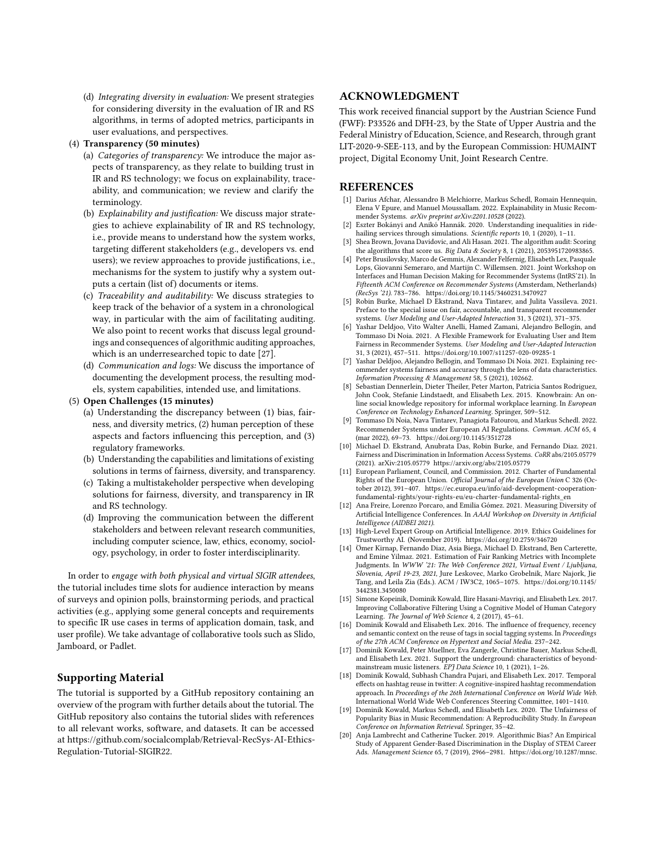(d) Integrating diversity in evaluation: We present strategies for considering diversity in the evaluation of IR and RS algorithms, in terms of adopted metrics, participants in user evaluations, and perspectives.

#### (4) Transparency (50 minutes)

- (a) Categories of transparency: We introduce the major aspects of transparency, as they relate to building trust in IR and RS technology; we focus on explainability, traceability, and communication; we review and clarify the terminology.
- (b) Explainability and justification: We discuss major strategies to achieve explainability of IR and RS technology, i.e., provide means to understand how the system works, targeting different stakeholders (e.g., developers vs. end users); we review approaches to provide justifications, i.e., mechanisms for the system to justify why a system outputs a certain (list of) documents or items.
- (c) Traceability and auditability: We discuss strategies to keep track of the behavior of a system in a chronological way, in particular with the aim of facilitating auditing. We also point to recent works that discuss legal groundings and consequences of algorithmic auditing approaches, which is an underresearched topic to date [\[27\]](#page-4-22).
- (d) Communication and logs: We discuss the importance of documenting the development process, the resulting models, system capabilities, intended use, and limitations.
- (5) Open Challenges (15 minutes)
	- (a) Understanding the discrepancy between (1) bias, fairness, and diversity metrics, (2) human perception of these aspects and factors influencing this perception, and (3) regulatory frameworks.
	- (b) Understanding the capabilities and limitations of existing solutions in terms of fairness, diversity, and transparency.
	- (c) Taking a multistakeholder perspective when developing solutions for fairness, diversity, and transparency in IR and RS technology.
	- (d) Improving the communication between the different stakeholders and between relevant research communities, including computer science, law, ethics, economy, sociology, psychology, in order to foster interdisciplinarity.

In order to engage with both physical and virtual SIGIR attendees, the tutorial includes time slots for audience interaction by means of surveys and opinion polls, brainstorming periods, and practical activities (e.g., applying some general concepts and requirements to specific IR use cases in terms of application domain, task, and user profile). We take advantage of collaborative tools such as Slido, Jamboard, or Padlet.

## Supporting Material

The tutorial is supported by a GitHub repository containing an overview of the program with further details about the tutorial. The GitHub repository also contains the tutorial slides with references to all relevant works, software, and datasets. It can be accessed at [https://github.com/socialcomplab/Retrieval-RecSys-AI-Ethics-](https://github.com/socialcomplab/Retrieval-RecSys-AI-Ethics-Regulation-Tutorial-SIGIR22)[Regulation-Tutorial-SIGIR22.](https://github.com/socialcomplab/Retrieval-RecSys-AI-Ethics-Regulation-Tutorial-SIGIR22)

#### ACKNOWLEDGMENT

This work received financial support by the Austrian Science Fund (FWF): P33526 and DFH-23, by the State of Upper Austria and the Federal Ministry of Education, Science, and Research, through grant LIT-2020-9-SEE-113, and by the European Commission: HUMAINT project, Digital Economy Unit, Joint Research Centre.

## **REFERENCES**

- <span id="page-3-15"></span>[1] Darius Afchar, Alessandro B Melchiorre, Markus Schedl, Romain Hennequin, Elena V Epure, and Manuel Moussallam. 2022. Explainability in Music Recommender Systems. arXiv preprint arXiv:2201.10528 (2022).
- <span id="page-3-18"></span>[2] Eszter Bokányi and Anikó Hannák. 2020. Understanding inequalities in ridehailing services through simulations. Scientific reports 10, 1 (2020), 1-11.
- <span id="page-3-17"></span>Shea Brown, Jovana Davidovic, and Ali Hasan. 2021. The algorithm audit: Scoring the algorithms that score us. Big Data & Society 8, 1 (2021), 2053951720983865.
- <span id="page-3-5"></span>[4] Peter Brusilovsky, Marco de Gemmis, Alexander Felfernig, Elisabeth Lex, Pasquale Lops, Giovanni Semeraro, and Martijn C. Willemsen. 2021. Joint Workshop on Interfaces and Human Decision Making for Recommender Systems (IntRS'21). In Fifteenth ACM Conference on Recommender Systems (Amsterdam, Netherlands) (RecSys '21). 783–786.<https://doi.org/10.1145/3460231.3470927>
- <span id="page-3-8"></span>[5] Robin Burke, Michael D Ekstrand, Nava Tintarev, and Julita Vassileva. 2021. Preface to the special issue on fair, accountable, and transparent recommender systems. User Modeling and User-Adapted Interaction 31, 3 (2021), 371–375.
- <span id="page-3-10"></span>[6] Yashar Deldjoo, Vito Walter Anelli, Hamed Zamani, Alejandro Bellogín, and Tommaso Di Noia. 2021. A Flexible Framework for Evaluating User and Item Fairness in Recommender Systems. User Modeling and User-Adapted Interaction 31, 3 (2021), 457–511.<https://doi.org/10.1007/s11257-020-09285-1>
- <span id="page-3-16"></span>[7] Yashar Deldjoo, Alejandro Bellogin, and Tommaso Di Noia. 2021. Explaining recommender systems fairness and accuracy through the lens of data characteristics. Information Processing & Management 58, 5 (2021), 102662.
- <span id="page-3-6"></span>[8] Sebastian Dennerlein, Dieter Theiler, Peter Marton, Patricia Santos Rodriguez, John Cook, Stefanie Lindstaedt, and Elisabeth Lex. 2015. Knowbrain: An online social knowledge repository for informal workplace learning. In European Conference on Technology Enhanced Learning. Springer, 509–512.
- <span id="page-3-0"></span>[9] Tommaso Di Noia, Nava Tintarev, Panagiota Fatourou, and Markus Schedl. 2022. Recommender Systems under European AI Regulations. Commun. ACM 65, 4 (mar 2022), 69–73.<https://doi.org/10.1145/3512728>
- <span id="page-3-9"></span>[10] Michael D. Ekstrand, Anubrata Das, Robin Burke, and Fernando Diaz. 2021. Fairness and Discrimination in Information Access Systems. CoRR abs/2105.05779 (2021). arXiv[:2105.05779 https://arxiv.org/abs/2105.05779](https://arxiv.org/abs/2105.05779)
- <span id="page-3-19"></span>[11] European Parliament, Council, and Commission. 2012. Charter of Fundamental Rights of the European Union. Official Journal of the European Union C 326 (October 2012), 391–407. [https://ec.europa.eu/info/aid-development-cooperation](https://ec.europa.eu/info/aid-development-cooperation-fundamental-rights/your-rights-eu/eu-charter-fundamental-rights_en)[fundamental-rights/your-rights-eu/eu-charter-fundamental-rights\\_en](https://ec.europa.eu/info/aid-development-cooperation-fundamental-rights/your-rights-eu/eu-charter-fundamental-rights_en)
- <span id="page-3-14"></span>[12] Ana Freire, Lorenzo Porcaro, and Emilia Gómez. 2021. Measuring Diversity of Artificial Intelligence Conferences. In AAAI Workshop on Diversity in Artificial Intelligence (AIDBEI 2021).
- <span id="page-3-13"></span>[13] High-Level Expert Group on Artificial Intelligence. 2019. Ethics Guidelines for Trustworthy AI. (November 2019).<https://doi.org/10.2759/346720>
- <span id="page-3-11"></span>[14] Ömer Kirnap, Fernando Diaz, Asia Biega, Michael D. Ekstrand, Ben Carterette, and Emine Yilmaz. 2021. Estimation of Fair Ranking Metrics with Incomplete Judgments. In WWW '21: The Web Conference 2021, Virtual Event / Ljubljana, Slovenia, April 19-23, 2021, Jure Leskovec, Marko Grobelnik, Marc Najork, Jie Tang, and Leila Zia (Eds.). ACM / IW3C2, 1065–1075. [https://doi.org/10.1145/](https://doi.org/10.1145/3442381.3450080) [3442381.3450080](https://doi.org/10.1145/3442381.3450080)
- <span id="page-3-1"></span>[15] Simone Kopeinik, Dominik Kowald, Ilire Hasani-Mavriqi, and Elisabeth Lex. 2017. Improving Collaborative Filtering Using a Cognitive Model of Human Category Learning. The Journal of Web Science 4, 2 (2017), 45–61.
- <span id="page-3-2"></span>[16] Dominik Kowald and Elisabeth Lex. 2016. The influence of frequency, recency and semantic context on the reuse of tags in social tagging systems. In Proceedings of the 27th ACM Conference on Hypertext and Social Media. 237–242.
- <span id="page-3-7"></span>[17] Dominik Kowald, Peter Muellner, Eva Zangerle, Christine Bauer, Markus Schedl, and Elisabeth Lex. 2021. Support the underground: characteristics of beyondmainstream music listeners. EPJ Data Science 10, 1 (2021), 1–26.
- <span id="page-3-3"></span>[18] Dominik Kowald, Subhash Chandra Pujari, and Elisabeth Lex. 2017. Temporal effects on hashtag reuse in twitter: A cognitive-inspired hashtag recommendation approach. In Proceedings of the 26th International Conference on World Wide Web. International World Wide Web Conferences Steering Committee, 1401–1410.
- <span id="page-3-4"></span>[19] Dominik Kowald, Markus Schedl, and Elisabeth Lex. 2020. The Unfairness of Popularity Bias in Music Recommendation: A Reproducibility Study. In European Conference on Information Retrieval. Springer, 35–42.
- <span id="page-3-12"></span>[20] Anja Lambrecht and Catherine Tucker. 2019. Algorithmic Bias? An Empirical Study of Apparent Gender-Based Discrimination in the Display of STEM Career Ads. Management Science 65, 7 (2019), 2966–2981. [https://doi.org/10.1287/mnsc.](https://doi.org/10.1287/mnsc.2018.3093)